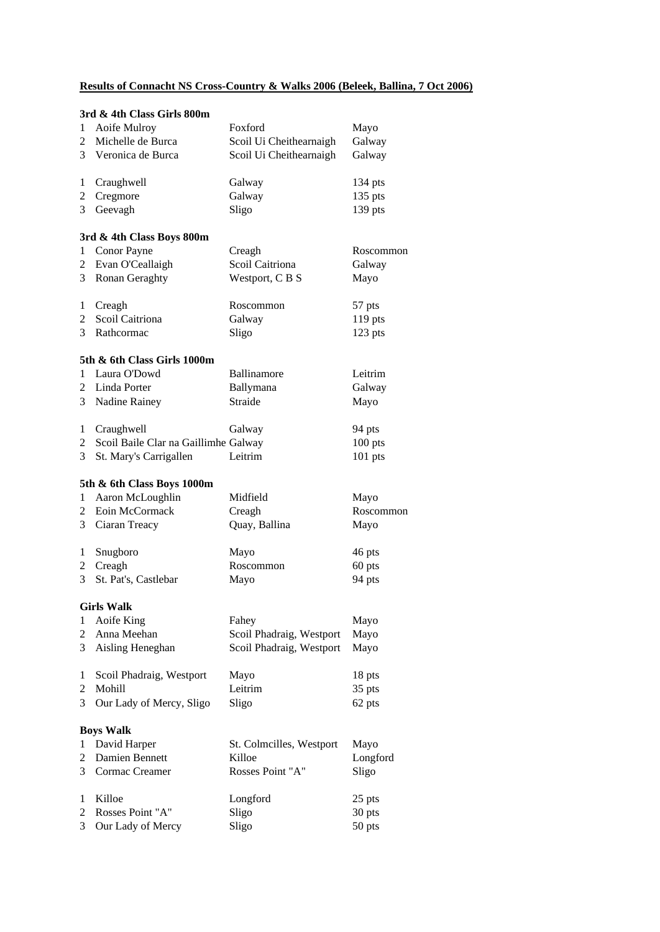# **Results of Connacht NS Cross-Country & Walks 2006 (Beleek, Ballina, 7 Oct 2006)**

|                | 3rd & 4th Class Girls 800m           |                          |           |
|----------------|--------------------------------------|--------------------------|-----------|
| 1              | Aoife Mulroy                         | Foxford                  | Mayo      |
| $\overline{2}$ | Michelle de Burca                    | Scoil Ui Cheithearnaigh  | Galway    |
|                | 3 Veronica de Burca                  | Scoil Ui Cheithearnaigh  | Galway    |
| 1              | Craughwell                           | Galway                   | 134 pts   |
| 2              | Cregmore                             | Galway                   | $135$ pts |
| 3              | Geevagh                              | Sligo                    | 139 pts   |
|                | 3rd & 4th Class Boys 800m            |                          |           |
| $\mathbf{1}$   | Conor Payne                          | Creagh                   | Roscommon |
| 2              | Evan O'Ceallaigh                     | Scoil Caitriona          | Galway    |
| 3              | Ronan Geraghty                       | Westport, C B S          | Mayo      |
| 1              | Creagh                               | Roscommon                | 57 pts    |
| 2              | Scoil Caitriona                      | Galway                   | 119 pts   |
| 3              | Rathcormac                           | Sligo                    | 123 pts   |
|                | 5th & 6th Class Girls 1000m          |                          |           |
| 1              | Laura O'Dowd                         | Ballinamore              | Leitrim   |
| $\overline{2}$ | Linda Porter                         | Ballymana                | Galway    |
| 3              | Nadine Rainey                        | Straide                  | Mayo      |
| 1              | Craughwell                           | Galway                   | 94 pts    |
| 2              | Scoil Baile Clar na Gaillimhe Galway |                          | $100$ pts |
| 3              | St. Mary's Carrigallen               | Leitrim                  | 101 pts   |
|                | 5th & 6th Class Boys 1000m           |                          |           |
| $\mathbf{1}$   | Aaron McLoughlin                     | Midfield                 | Mayo      |
| 2              | Eoin McCormack                       | Creagh                   | Roscommon |
| 3              | Ciaran Treacy                        | Quay, Ballina            | Mayo      |
| 1              | Snugboro                             | Mayo                     | 46 pts    |
| 2              | Creagh                               | Roscommon                | 60 pts    |
| 3              | St. Pat's, Castlebar                 | Mayo                     | 94 pts    |
|                | <b>Girls Walk</b>                    |                          |           |
| 1              | Aoife King                           | Fahey                    | Mayo      |
| 2              | Anna Meehan                          | Scoil Phadraig, Westport | Mayo      |
| 3              | Aisling Heneghan                     | Scoil Phadraig, Westport | Mayo      |
| 1              | Scoil Phadraig, Westport             | Mayo                     | 18 pts    |
| 2              | Mohill                               | Leitrim                  | 35 pts    |
| 3              | Our Lady of Mercy, Sligo             | Sligo                    | 62 pts    |
|                | <b>Boys Walk</b>                     |                          |           |
| 1              | David Harper                         | St. Colmcilles, Westport | Mayo      |
| 2              | Damien Bennett                       | Killoe                   | Longford  |
| 3              | Cormac Creamer                       | Rosses Point "A"         | Sligo     |
| 1              | Killoe                               | Longford                 | 25 pts    |
| 2              | Rosses Point "A"                     | Sligo                    | 30 pts    |
| 3              | Our Lady of Mercy                    | Sligo                    | 50 pts    |
|                |                                      |                          |           |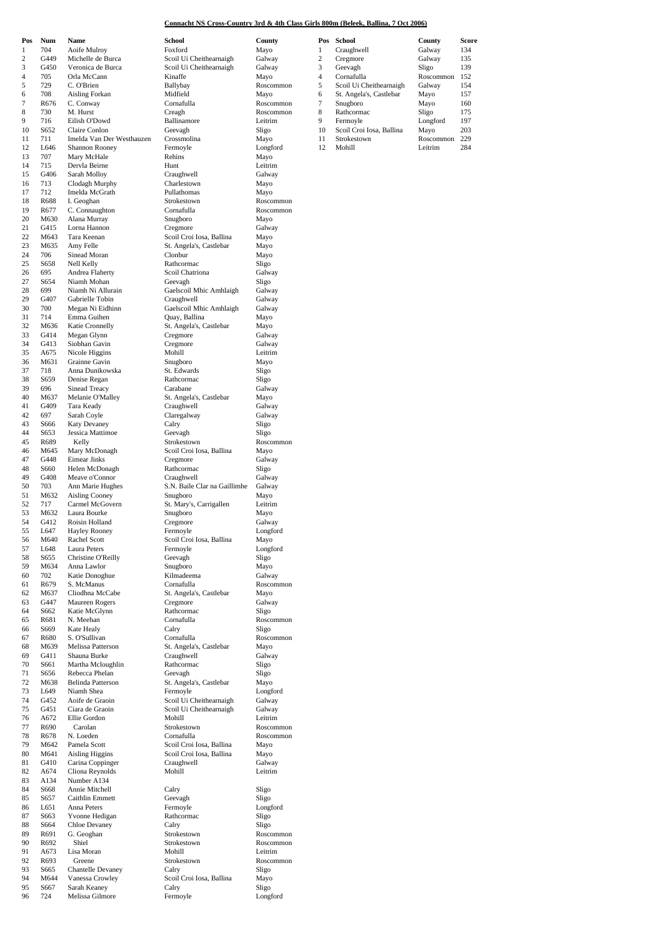#### **Connacht NS Cross-Country 3rd & 4th Class Girls 800m (Beleek, Ballina, 7 Oct 2006)**

| Pos<br>$\mathbf{1}$ | Num          | Name                                 |
|---------------------|--------------|--------------------------------------|
| $\overline{c}$      | 704<br>G449  | Aoife Mulroy<br>Michelle de Burca    |
| 3                   | G450         | Veronica de Burca                    |
| 4                   | 705          | Orla McCann                          |
| 5                   | 729          | C. O'Brien                           |
| 6                   | 708          | Aisling Forkan                       |
| 7<br>8              | R676         | C. Conway<br>M. Hurst                |
| 9                   | 730<br>716   | Eilish O'Dowd                        |
| 10                  | S652         | Claire Conlon                        |
| 11                  | 711          | Imelda Van Der We                    |
| 12                  | L646         | Shannon Rooney                       |
| 13                  | 707          | Mary McHale                          |
| 14<br>15            | 715<br>G406  | Dervla Beirne                        |
| 16                  | 713          | Sarah Molloy<br>Clodagh Murphy       |
| 17                  | 712          | Imelda McGrath                       |
| 18                  | R688         | I. Geoghan                           |
| 19                  | R677         | C. Connaughton                       |
| 20                  | M630         | Alana Murray                         |
| 21<br>22            | G415<br>M643 | Lorna Hannon<br>Tara Keenan          |
| 23                  | M635         | Amy Felle                            |
| 24                  | 706          | Sinead Moran                         |
| 25                  | S658         | Nell Kelly                           |
| 26                  | 695          | Andrea Flaherty                      |
| 27<br>28            | S654<br>699  | Niamh Mohan<br>Niamh Ni Allurain     |
| 29                  | G407         | Gabrielle Tobin                      |
| 30                  | 700          | Megan Ni Eidhinn                     |
| 31                  | 714          | Emma Guihen                          |
| 32                  | M636         | Katie Cronnelly                      |
| 33                  | G414         | Megan Glynn                          |
| 34<br>35            | G413<br>A675 | Siobhan Gavin<br>Nicole Higgins      |
| 36                  | M631         | Grainne Gavin                        |
| 37                  | 718          | Anna Dunikowska                      |
| 38                  | S659         | Denise Regan                         |
| 39                  | 696          | Sinead Treacy                        |
| 40                  | M637         | Melanie O'Malley                     |
| 41<br>42            | G409<br>697  | Tara Keady<br>Sarah Coyle            |
| 43                  | S666         | Katy Devaney                         |
| 44                  | S653         | Jessica Mattimoe                     |
| 45                  | R689         | Kelly                                |
| 46                  | M645         | Mary McDonagh                        |
| 47                  | G448         | Eimear Jinks                         |
| 48<br>49            | S660<br>G408 | Helen McDonagh<br>Meave o'Connor     |
| 50                  | 703          | Ann Marie Hughes                     |
| 51                  | M632         | <b>Aisling Cooney</b>                |
| 52                  | 717          | Carmel McGovern                      |
| 53                  | M632         | Laura Bourke                         |
| 54<br>55            | G412<br>L647 | Roisin Holland<br>Hayley Rooney      |
| 56                  | M640         | Rachel Scott                         |
| 57                  | L648         | Laura Peters                         |
| 58                  | S655         | Christine O'Reilly                   |
| 59                  | M634         | Anna Lawlor                          |
| 60                  | 702          | Katie Donoghue                       |
| 61<br>62            | R679<br>M637 | S. McManus<br>Cliodhna McCabe        |
| 63                  | G447         | Maureen Rogers                       |
| 64                  | S662         | Katie McGlynn                        |
| 65                  | R681         | N. Meehan                            |
| 66                  | S669         | Kate Healy                           |
| 67<br>68            | R680<br>M639 | S. O'Sullivan<br>Melissa Patterson   |
| 69                  | G411         | Shauna Burke                         |
| 70                  | S661         | Martha Mcloughlin                    |
| 71                  | S656         | Rebecca Phelan                       |
| 72                  | M638         | Belinda Patterson                    |
| 73                  | L649         | Niamh Shea                           |
| 74<br>75            | G452<br>G451 | Aoife de Graoin<br>Ciara de Graoin   |
| 76                  | A672         | Ellie Gordon                         |
| 77                  | R690         | Carolan                              |
| 78                  | R678         | N. Loeden                            |
| 79                  | M642         | Pamela Scott                         |
| 80<br>81            | M641<br>G410 | Aisling Higgins<br>Carina Coppinger  |
| 82                  | A674         | Cliona Reynolds                      |
| 83                  | A134         | Number A134                          |
| 84                  | S668         | Annie Mitchell                       |
| 85                  | S657         | Caithlin Emmett                      |
| 86                  | L651         | Anna Peters                          |
| 87<br>88            | S663<br>S664 | Yvonne Hedigan<br>Chloe Devaney      |
| 89                  | R691         | G. Geoghan                           |
| 90                  | R692         | Shiel                                |
| 91                  | A673         | Lisa Moran                           |
| 92                  | R693         | Greene                               |
| 93<br>94            | S665<br>M644 | Chantelle Devaney<br>Vanessa Crowley |
| 95                  | S667         | Sarah Keaney                         |
| 96                  | 724          | Melissa Gilmore                      |

| 1        |              |                                   |                                     | County             |
|----------|--------------|-----------------------------------|-------------------------------------|--------------------|
|          | 704          | Aoife Mulroy<br>Michelle de Burca | Foxford                             | Mayo               |
| 2        | G449         |                                   | Scoil Ui Cheithearnaigh             | Galway             |
| 3        | G450         | Veronica de Burca                 | Scoil Ui Cheithearnaigh             | Galway             |
| 4        | 705          | Orla McCann                       | Kinaffe                             | Mayo               |
| 5        | 729          | C. O'Brien                        | Ballybay                            | Roscommon          |
| 6        | 708          | Aisling Forkan                    | Midfield                            | Mayo               |
| 7        | R676         | C. Conway                         | Cornafulla                          | Roscommon          |
| 8        | 730          | M. Hurst                          | Creagh                              | Roscommon          |
| 9        | 716          | Eilish O'Dowd                     | Ballinamore                         | Leitrim            |
| 10       | S652         | Claire Conlon                     | Geevagh                             | Sligo              |
| 11       | 711          | Imelda Van Der Westhauzen         | Crossmolina                         | Mayo               |
| 12       | L646         | Shannon Rooney                    | Fermoyle                            | Longford           |
| 13       | 707          | Mary McHale                       | Rehins                              | Mayo               |
| 14       | 715          | Dervla Beirne                     | Hunt                                | Leitrim            |
| 15       | G406         | Sarah Molloy                      | Craughwell                          | Galway             |
| 16       | 713          | Clodagh Murphy                    | Charlestown                         | Mayo               |
| 17       | 712          | Imelda McGrath                    | Pullathomas                         | Mayo               |
| 18       | R688         | I. Geoghan                        | Strokestown                         | Roscommon          |
| 19       | R677         | C. Connaughton                    | Cornafulla                          | Roscommon          |
| 20       | M630         | Alana Murray                      | Snugboro                            | Mayo               |
| 21       | G415         | Lorna Hannon                      | Cregmore                            | Galway             |
| 22       | M643         | Tara Keenan                       | Scoil Croi Iosa, Ballina            | Mayo               |
| 23       | M635         | Amy Felle                         | St. Angela's, Castlebar             | Mayo               |
| 24       | 706          | Sinead Moran                      | Clonbur                             | Mayo               |
| 25       | S658         | Nell Kelly                        | Rathcormac                          | Sligo              |
| 26       | 695          | Andrea Flaherty                   | Scoil Chatriona                     | Galway             |
| 27       | S654         | Niamh Mohan                       | Geevagh                             | Sligo              |
| 28       | 699          | Niamh Ni Allurain                 | Gaelscoil Mhic Amhlaigh             | Galway             |
| 29       | G407         | Gabrielle Tobin                   | Craughwell                          | Galway             |
| 30       | 700          | Megan Ni Eidhinn                  | Gaelscoil Mhic Amhlaigh             | Galway             |
| 31       | 714          | Emma Guihen                       | Quay, Ballina                       | Mayo               |
| 32       | M636         | Katie Cronnelly                   | St. Angela's, Castlebar             | Mayo               |
| 33       | G414         | Megan Glynn                       | Cregmore                            | Galway             |
|          |              |                                   |                                     |                    |
| 34       | G413         | Siobhan Gavin                     | Cregmore                            | Galway             |
| 35       | A675         | Nicole Higgins                    | Mohill                              | Leitrim            |
| 36       | M631         | Grainne Gavin                     | Snugboro                            | Mayo               |
| 37       | 718          | Anna Dunikowska                   | St. Edwards                         | Sligo              |
| 38       | S659         | Denise Regan                      | Rathcormac                          | Sligo              |
| 39       | 696          | Sinead Treacy                     | Carabane                            | Galway             |
| 40       | M637         | Melanie O'Malley                  | St. Angela's, Castlebar             | Mayo               |
| 41       | G409         | Tara Keady                        | Craughwell                          | Galway             |
| 42       | 697          | Sarah Coyle                       | Claregalway                         | Galway             |
| 43       | S666         | Katy Devaney                      | Calry                               | Sligo              |
| 44       | S653         | Jessica Mattimoe                  | Geevagh                             | Sligo              |
| 45       | R689         | Kelly                             | Strokestown                         | Roscommon          |
| 46       | M645         | Mary McDonagh                     | Scoil Croi Iosa, Ballina            | Mayo               |
| 47       | G448         | <b>Eimear Jinks</b>               | Cregmore                            | Galway             |
| 48       | <b>S660</b>  | Helen McDonagh                    | Rathcormac                          | Sligo              |
| 49       | G408         | Meave o'Connor                    | Craughwell                          | Galway             |
| 50       | 703          | Ann Marie Hughes                  | S.N. Baile Clar na Gaillimhe        | Galway             |
| 51       | M632         | <b>Aisling Cooney</b>             | Snugboro                            | Mayo               |
| 52       | 717          | Carmel McGovern                   | St. Mary's, Carrigallen             | Leitrim            |
| 53       | M632         | Laura Bourke                      | Snugboro                            | Mayo               |
| 54       | G412         | Roisin Holland                    | Cregmore                            | Galway             |
| 55       | L647         | <b>Hayley Rooney</b>              | Fermoyle                            | Longford           |
| 56       | M640         | Rachel Scott                      | Scoil Croi Iosa, Ballina            | Mayo               |
| 57       | L648         | Laura Peters                      | Fermoyle                            | Longford           |
| 58       | S655         | Christine O'Reilly                | Geevagh                             | Sligo              |
| 59       | M634         | Anna Lawlor                       | Snugboro                            | Mayo               |
| 60       | 702          | Katie Donoghue                    | Kilmadeema                          | Galway             |
| 61       | R679         | S. McManus                        | Cornafulla                          | Roscommon          |
| 62       | M637         | Cliodhna McCabe                   | St. Angela's, Castlebar             | Mayo               |
| 63       | G447         | Maureen Rogers                    | Cregmore                            | Galway             |
| 64       | S662         | Katie McGlynn                     | Rathcormac                          | Sligo              |
| 65       | R681         | N. Meehan                         | Cornafulla                          | Roscommon          |
| 66       | S669         | Kate Healy                        | Calry                               | Sligo              |
| 67       | R680         | S. O'Sullivan                     | Cornafulla                          | Roscommon          |
| 68       | M639         | <b>Melissa Patterson</b>          | St. Angela's, Castlebar             | Mayo               |
| 69       | G411         | Shauna Burke                      | Craughwell                          | Galway             |
| 70       | S661         | Martha Mcloughlin                 | Rathcormac                          | Sligo              |
| 71       | S656         | Rebecca Phelan                    | Geevagh                             | Sligo              |
|          |              | <b>Belinda Patterson</b>          |                                     |                    |
| 72<br>73 | M638         | Niamh Shea                        | St. Angela's, Castlebar<br>Fermoyle | Mayo               |
| 74       | L649<br>G452 | Aoife de Graoin                   | Scoil Ui Cheithearnaigh             | Longford<br>Galway |
|          |              |                                   |                                     |                    |
| 75       | G451         | Ciara de Graoin                   | Scoil Ui Cheithearnaigh             | Galway             |
| 76       | A672         | Ellie Gordon                      | Mohill                              | Leitrim            |
| 77       | R690         | Carolan                           | Strokestown                         | Roscommon          |
| 78       | R678         | N. Loeden                         | Cornafulla                          | Roscommon          |
| 79       | M642         | Pamela Scott                      | Scoil Croi Iosa, Ballina            | Mayo               |
| 80       | M641         | <b>Aisling Higgins</b>            | Scoil Croi Iosa, Ballina            | Mayo               |
| 81       | G410         | Carina Coppinger                  | Craughwell                          | Galway             |
| 82       | A674         | Cliona Reynolds                   | Mohill                              | Leitrim            |
| 83       | A134         | Number A134                       |                                     |                    |
| 84       | S668         | Annie Mitchell                    | Calry                               | Sligo              |
| 85       | S657         | Caithlin Emmett                   | Geevagh                             | Sligo              |
| 86       | L651         | Anna Peters                       | Fermoyle                            | Longford           |
| 87       | S663         | Yvonne Hedigan                    | Rathcormac                          | Sligo              |
| 88       | S664         | Chloe Devaney                     | Calry                               | Sligo              |
| 89       | R691         | G. Geoghan                        | Strokestown                         | Roscommon          |
| 90       | R692         | Shiel                             | Strokestown                         | Roscommon          |
| 91       | A673         | Lisa Moran                        | Mohill                              | Leitrim            |
| 92       | R693         | Greene                            | Strokestown                         | Roscommon          |
| 93       | S665         | <b>Chantelle Devaney</b>          | Calry                               | Sligo              |
| 94       | M644         | Vanessa Crowley                   | Scoil Croi Iosa, Ballina            | Mayo               |
| 95       | S667         | Sarah Keaney                      | Calry                               | Sligo              |
|          |              |                                   |                                     |                    |
| 96       | 724          | Melissa Gilmore                   | Fermoyle                            | Longford           |

| Pos | <b>Num</b> | <b>Name</b>                | School                  | County    | Pos | School                   | County    | Score |
|-----|------------|----------------------------|-------------------------|-----------|-----|--------------------------|-----------|-------|
|     | 704        | Aoife Mulroy               | Foxford                 | Mavo      |     | Craughwell               | Galway    | 134   |
|     | G449       | Michelle de Burca          | Scoil Ui Cheithearnaigh | Galway    |     | Cregmore                 | Galway    | 135   |
| 3   | G450       | Veronica de Burca          | Scoil Ui Cheithearnaigh | Galway    |     | Geevagh                  | Sligo     | 139   |
| 4   | 705        | Orla McCann                | Kinaffe                 | Mayo      | 4   | Cornafulla               | Roscommon | 152   |
| 5   | 729        | C. O'Brien                 | Ballybay                | Roscommon |     | Scoil Ui Cheithearnaigh  | Galway    | 154   |
| 6   | 708        | Aisling Forkan             | Midfield                | Mavo      | 6   | St. Angela's, Castlebar  | Mayo      | 157   |
|     | R676       | C. Conway                  | Cornafulla              | Roscommon |     | Snugboro                 | Mayo      | 160   |
| 8   | 730        | M. Hurst                   | Creagh                  | Roscommon | 8   | Rathcormac               | Sligo     | 175   |
| 9   | 716        | Eilish O'Dowd              | Ballinamore             | Leitrim   | 9   | Fermovle                 | Longford  | 197   |
| 10  | S652       | Claire Conlon              | Geevagh                 | Sligo     | 10  | Scoil Croi Iosa, Ballina | Mayo      | 203   |
| 11  | 711        | Imelda Van Der Westhauzen. | Crossmolina             | Mayo      | 11  | Strokestown              | Roscommon | 229   |
| 12  | L646       | <b>Shannon Rooney</b>      | Fermovle                | Longford  |     | Mohill                   | Leitrim   | 284   |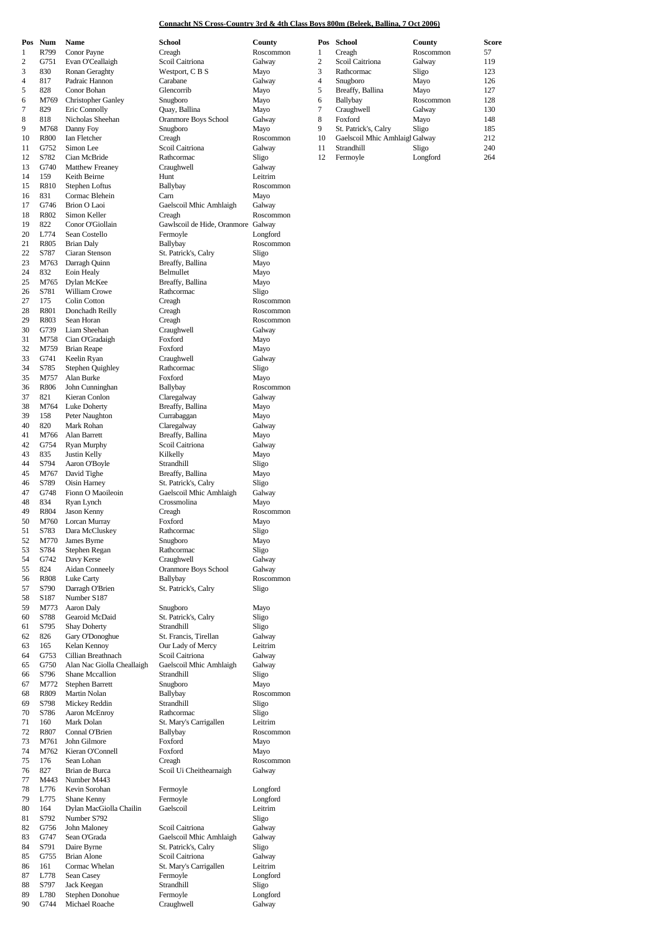### **Connacht NS Cross-Country 3rd & 4th Class Boys 800m (Beleek, Ballina, 7 Oct 2006)**

| Pos | Num  | Name                       | School                             | County    |
|-----|------|----------------------------|------------------------------------|-----------|
| 1   | R799 | Conor Payne                | Creagh                             | Roscommon |
| 2   | G751 | Evan O'Ceallaigh           | Scoil Caitriona                    | Galway    |
| 3   | 830  | Ronan Geraghty             | Westport, C B S                    | Mayo      |
| 4   | 817  | Padraic Hannon             | Carabane                           | Galway    |
| 5   | 828  | Conor Bohan                | Glencorrib                         | Mayo      |
|     |      |                            | Snugboro                           |           |
| 6   | M769 | <b>Christopher Ganley</b>  |                                    | Mayo      |
| 7   | 829  | Eric Connolly              | Quay, Ballina                      | Mayo      |
| 8   | 818  | Nicholas Sheehan           | <b>Oranmore Boys School</b>        | Galway    |
| 9   | M768 | Danny Foy                  | Snugboro                           | Mayo      |
| 10  | R800 | Ian Fletcher               | Creagh                             | Roscommon |
| 11  | G752 | Simon Lee                  | Scoil Caitriona                    | Galway    |
| 12  | S782 | Cian McBride               | Rathcormac                         | Sligo     |
| 13  | G740 | <b>Matthew Freaney</b>     | Craughwell                         | Galway    |
| 14  | 159  | Keith Beirne               | Hunt                               | Leitrim   |
| 15  | R810 | Stephen Loftus             | Ballybay                           | Roscommon |
| 16  | 831  | Cormac Blehein             | Carn                               | Mayo      |
| 17  | G746 | <b>Brion O Laoi</b>        | Gaelscoil Mhic Amhlaigh            | Galway    |
| 18  | R802 | Simon Keller               | Creagh                             | Roscommon |
|     | 822  |                            |                                    |           |
| 19  |      | Conor O'Giollain           | Gawlscoil de Hide, Oranmore Galway |           |
| 20  | L774 | Sean Costello              | Fermoyle                           | Longford  |
| 21  | R805 | <b>Brian Daly</b>          | Ballybay                           | Roscommon |
| 22  | S787 | Ciaran Stenson             | St. Patrick's, Calry               | Sligo     |
| 23  | M763 | Darragh Quinn              | Breaffy, Ballina                   | Mayo      |
| 24  | 832  | Eoin Healy                 | Belmullet                          | Mayo      |
| 25  | M765 | Dylan McKee                | Breaffy, Ballina                   | Mayo      |
| 26  | S781 | <b>William Crowe</b>       | Rathcormac                         | Sligo     |
| 27  | 175  | Colin Cotton               | Creagh                             | Roscommon |
| 28  | R801 | Donchadh Reilly            | Creagh                             | Roscommon |
| 29  | R803 | Sean Horan                 | Creagh                             | Roscommon |
| 30  | G739 | Liam Sheehan               | Craughwell                         | Galway    |
| 31  | M758 | Cian O'Gradaigh            | Foxford                            | Mayo      |
| 32  |      | <b>Brian Reape</b>         | Foxford                            |           |
|     | M759 |                            |                                    | Mayo      |
| 33  | G741 | Keelin Ryan                | Craughwell                         | Galway    |
| 34  | S785 | <b>Stephen Quighley</b>    | Rathcormac                         | Sligo     |
| 35  | M757 | Alan Burke                 | Foxford                            | Mayo      |
| 36  | R806 | John Cunninghan            | Ballybay                           | Roscommon |
| 37  | 821  | Kieran Conlon              | Claregalway                        | Galway    |
| 38  | M764 | Luke Doherty               | Breaffy, Ballina                   | Mayo      |
| 39  | 158  | Peter Naughton             | Currabaggan                        | Mayo      |
| 40  | 820  | Mark Rohan                 | Claregalway                        | Galway    |
| 41  | M766 | Alan Barrett               | Breaffy, Ballina                   | Mayo      |
| 42  | G754 | Ryan Murphy                | Scoil Caitriona                    | Galway    |
| 43  | 835  | Justin Kelly               | Kilkelly                           | Mayo      |
| 44  | S794 | Aaron O'Boyle              | Strandhill                         | Sligo     |
|     | M767 |                            |                                    |           |
| 45  |      | David Tighe                | Breaffy, Ballina                   | Mayo      |
| 46  | S789 | Oisin Harney               | St. Patrick's, Calry               | Sligo     |
| 47  | G748 | Fionn O Maoileoin          | Gaelscoil Mhic Amhlaigh            | Galway    |
| 48  | 834  | Ryan Lynch                 | Crossmolina                        | Mayo      |
| 49  | R804 | Jason Kenny                | Creagh                             | Roscommon |
| 50  | M760 | Lorcan Murray              | Foxford                            | Mayo      |
| 51  | S783 | Dara McCluskey             | Rathcormac                         | Sligo     |
| 52  | M770 | James Byrne                | Snugboro                           | Mayo      |
| 53  | S784 | Stephen Regan              | Rathcormac                         | Sligo     |
| 54  | G742 | Davy Kerse                 | Craughwell                         | Galway    |
| 55  | 824  | <b>Aidan Conneely</b>      | <b>Oranmore Boys School</b>        | Galway    |
| 56  | R808 | <b>Luke Carty</b>          | Ballybay                           | Roscommon |
| 57  | S790 | Darragh O'Brien            | St. Patrick's, Calry               | Sligo     |
|     |      |                            |                                    |           |
| 58  | S187 | Number S187                |                                    |           |
| 59  | M773 | Aaron Daly                 | Snugboro                           | Mayo      |
| 60  | S788 | Gearoid McDaid             | St. Patrick's, Calry               | Sligo     |
| 61  | S795 | <b>Shay Doherty</b>        | Strandhill                         | Sligo     |
| 62  | 826  | Gary O'Donoghue            | St. Francis, Tirellan              | Galway    |
| 63  | 165  | Kelan Kennoy               | Our Lady of Mercy                  | Leitrim   |
| 64  | G753 | Cillian Breathnach         | Scoil Caitriona                    | Galway    |
| 65  | G750 | Alan Nac Giolla Cheallaigh | Gaelscoil Mhic Amhlaigh            | Galway    |
| 66  | S796 | Shane Mccallion            | Strandhill                         | Sligo     |
| 67  | M772 | <b>Stephen Barrett</b>     | Snugboro                           | Mayo      |
| 68  | R809 | Martin Nolan               | Ballybay                           | Roscommon |
| 69  | S798 | Mickey Reddin              | Strandhill                         | Sligo     |
| 70  | S786 | Aaron McEnroy              | Rathcormac                         | Sligo     |
| 71  | 160  | Mark Dolan                 | St. Mary's Carrigallen             | Leitrim   |
| 72  | R807 | Connal O'Brien             | Ballybay                           | Roscommon |
| 73  | M761 | John Gilmore               | Foxford                            | Mayo      |
| 74  | M762 | Kieran O'Connell           | Foxford                            |           |
|     |      |                            |                                    | Mayo      |
| 75  | 176  | Sean Lohan                 | Creagh                             | Roscommon |
| 76  | 827  | Brian de Burca             | Scoil Ui Cheithearnaigh            | Galway    |
| 77  | M443 | Number M443                |                                    |           |
| 78  | L776 | Kevin Sorohan              | Fermoyle                           | Longford  |
| 79  | L775 | Shane Kenny                | Fermoyle                           | Longford  |
| 80  | 164  | Dylan MacGiolla Chailin    | Gaelscoil                          | Leitrim   |
| 81  | S792 | Number S792                |                                    | Sligo     |
| 82  | G756 | John Maloney               | Scoil Caitriona                    | Galway    |
| 83  | G747 | Sean O'Grada               | Gaelscoil Mhic Amhlaigh            | Galway    |
| 84  | S791 | Daire Byrne                | St. Patrick's, Calry               | Sligo     |
|     |      | <b>Brian Alone</b>         | Scoil Caitriona                    |           |
| 85  | G755 |                            |                                    | Galway    |
| 86  | 161  | Cormac Whelan              | St. Mary's Carrigallen             | Leitrim   |
| 87  | L778 | Sean Casey                 | Fermoyle                           | Longford  |
| 88  | S797 | Jack Keegan                | Strandhill                         | Sligo     |
| 89  | L780 | Stephen Donohue            | Fermoyle                           | Longford  |
| 90  | G744 | Michael Roache             | Craughwell                         | Galway    |

| 1        | R799        | Conor Payne                | Creagh                             | Roscon  |
|----------|-------------|----------------------------|------------------------------------|---------|
| 2        | G751        | Evan O'Ceallaigh           | Scoil Caitriona                    | Galway  |
| 3        | 830         | Ronan Geraghty             | Westport, C B S                    | Mayo    |
| 4        | 817         | Padraic Hannon             | Carabane                           | Galway  |
| 5        | 828         | Conor Bohan                | Glencorrib                         | Mayo    |
| 6        | M769        | <b>Christopher Ganley</b>  | Snugboro                           | Mayo    |
| 7        | 829         | Eric Connolly              | Quay, Ballina                      | Mayo    |
| 8        | 818         | Nicholas Sheehan           | Oranmore Boys School               | Galway  |
| 9        | M768        | Danny Foy                  | Snugboro                           | Mayo    |
| 10       | R800        | Ian Fletcher               | Creagh                             | Roscon  |
| 11       | G752        | Simon Lee                  | Scoil Caitriona                    | Galway  |
| 12       | S782        | Cian McBride               | Rathcormac                         | Sligo   |
| 13       | G740        | <b>Matthew Freaney</b>     | Craughwell                         | Galway  |
| 14       | 159         | Keith Beirne               | Hunt                               | Leitrim |
| 15       | R810        | Stephen Loftus             | Ballybay                           | Roscon  |
| 16       | 831         | Cormac Blehein             | Carn                               | Mayo    |
| 17       | G746        | <b>Brion O Laoi</b>        | Gaelscoil Mhic Amhlaigh            | Galway  |
| 18       | R802        | Simon Keller               | Creagh                             | Roscon  |
| 19       | 822         | Conor O'Giollain           | Gawlscoil de Hide, Oranmore Galway |         |
| 20       | L774        | Sean Costello              | Fermoyle                           | Longfor |
| 21       | R805        | <b>Brian Daly</b>          | Ballybay                           | Roscon  |
| 22       | S787        | Ciaran Stenson             | St. Patrick's, Calry               | Sligo   |
| 23       | M763        | Darragh Quinn              | Breaffy, Ballina                   | Mayo    |
| 24       | 832         | Eoin Healy                 | Belmullet                          | Mayo    |
| 25       | M765        | Dylan McKee                | Breaffy, Ballina                   | Mayo    |
| 26       | S781        | William Crowe              | Rathcormac                         | Sligo   |
| 27       | 175         | Colin Cotton               | Creagh                             | Roscon  |
| 28       | R801        | Donchadh Reilly            | Creagh                             | Roscon  |
| 29       | R803        | Sean Horan                 | Creagh                             | Roscom  |
| 30       | G739        | Liam Sheehan               | Craughwell                         | Galway  |
| 31       | M758        | Cian O'Gradaigh            | Foxford                            | Mayo    |
| 32       | M759        | <b>Brian Reape</b>         | Foxford                            | Mayo    |
| 33       | G741        | Keelin Ryan                | Craughwell                         | Galway  |
| 34       | S785        | <b>Stephen Quighley</b>    | Rathcormac                         | Sligo   |
| 35       | M757        | Alan Burke                 | Foxford                            | Mayo    |
| 36       | R806        | John Cunninghan            | Ballybay                           | Roscon  |
|          | 821         |                            |                                    |         |
| 37       |             | Kieran Conlon              | Claregalway                        | Galway  |
| 38       | M764        | Luke Doherty               | Breaffy, Ballina                   | Mayo    |
| 39       | 158         | Peter Naughton             | Currabaggan                        | Mayo    |
| 40       | 820         | Mark Rohan                 | Claregalway                        | Galway  |
| 41       | M766        | Alan Barrett               | Breaffy, Ballina                   | Mayo    |
| 42       | G754        | Ryan Murphy                | Scoil Caitriona                    | Galway  |
| 43       | 835         | Justin Kelly               | Kilkelly                           | Mayo    |
| 44       | S794        | Aaron O'Boyle              | Strandhill                         | Sligo   |
| 45       | M767        | David Tighe                | Breaffy, Ballina                   | Mayo    |
| 46       | S789        | Oisin Harney               | St. Patrick's, Calry               | Sligo   |
| 47       | G748        | Fionn O Maoileoin          | Gaelscoil Mhic Amhlaigh            | Galway  |
| 48       | 834         | Ryan Lynch                 | Crossmolina                        | Mayo    |
| 49       | R804        | Jason Kenny                | Creagh<br>Foxford                  | Roscon  |
| 50       | M760        | Lorcan Murray              |                                    | Mayo    |
| 51       | S783        | Dara McCluskey             | Rathcormac                         | Sligo   |
| 52       | M770        | James Byrne                | Snugboro                           | Mayo    |
| 53       | S784        | Stephen Regan              | Rathcormac                         | Sligo   |
| 54       | G742        | Davy Kerse                 | Craughwell                         | Galway  |
| 55       | 824         | <b>Aidan Conneely</b>      | Oranmore Boys School               | Galway  |
| 56       | <b>R808</b> | Luke Carty                 | Ballybay                           | Roscon  |
| 57       | S790        | Darragh O'Brien            | St. Patrick's, Calry               | Sligo   |
| 58       | S187        | Number S187                |                                    |         |
| 59       | M773        | Aaron Daly                 | Snugboro                           | Mayo    |
| 60       | S788        | Gearoid McDaid             | St. Patrick's, Calry               | Sligo   |
| 61       | S795        | <b>Shay Doherty</b>        | Strandhill                         | Sligo   |
| 62       | 826         | Gary O'Donoghue            | St. Francis, Tirellan              | Galway  |
| 63       | 165         | Kelan Kennoy               | Our Lady of Mercy                  | Leitrim |
| 64       | G753        | Cillian Breathnach         | Scoil Caitriona                    | Galway  |
| 65       | G750        | Alan Nac Giolla Cheallaigh | Gaelscoil Mhic Amhlaigh            | Galway  |
| 66       | S796        | <b>Shane Mccallion</b>     | Strandhill                         | Sligo   |
| 67       | M772        | <b>Stephen Barrett</b>     | Snugboro                           | Mayo    |
| 68       | R809        | Martin Nolan               | Ballybay                           | Roscon  |
| 69       | S798        | Mickey Reddin              | Strandhill                         | Sligo   |
| 70       | S786        | Aaron McEnroy              | Rathcormac                         | Sligo   |
| 71       | 160         | Mark Dolan                 | St. Mary's Carrigallen             | Leitrim |
| 72       | R807        | Connal O'Brien             | Ballybay                           | Roscon  |
| 73       | M761        | John Gilmore               | Foxford                            | Mayo    |
| 74       | M762        | Kieran O'Connell           | Foxford                            | Mayo    |
| 75       | 176         | Sean Lohan                 | Creagh                             | Roscom  |
| 76       | 827         | Brian de Burca             | Scoil Ui Cheithearnaigh            | Galway  |
| 77       | M443        | Number M443                |                                    |         |
| 78       | L776        | Kevin Sorohan              | Fermoyle                           | Longfor |
| 79       | L775        | Shane Kenny                | Fermoyle                           | Longfor |
| 80       | 164         | Dylan MacGiolla Chailin    | Gaelscoil                          | Leitrim |
| 81       | S792        | Number S792                |                                    | Sligo   |
| 82       | G756        | John Maloney               | Scoil Caitriona                    | Galway  |
| 83       | G747        | Sean O'Grada               | Gaelscoil Mhic Amhlaigh            | Galway  |
| 84       | S791        | Daire Byrne                | St. Patrick's, Calry               | Sligo   |
| 85       | G755        | Brian Alone                | Scoil Caitriona                    | Galway  |
| 86       | 161         | Cormac Whelan              | St. Mary's Carrigallen             | Leitrim |
| 87       | L778        |                            | Fermoyle                           |         |
| 88       | S797        | Sean Casey<br>Jack Keegan  | Strandhill                         | Longfor |
|          | L780        | Stephen Donohue            |                                    | Sligo   |
| 89<br>90 | G744        | Michael Roache             | Fermoyle                           | Longfor |
|          |             |                            | Craughwell                         | Galway  |
|          |             |                            |                                    |         |

| Pos | Num         | Name                      | School                      | County    | Pos | School                         | County    | Score |
|-----|-------------|---------------------------|-----------------------------|-----------|-----|--------------------------------|-----------|-------|
|     | R799        | Conor Payne               | Creagh                      | Roscommon |     | Creagh                         | Roscommon | 57    |
|     | G751        | Evan O'Ceallaigh          | Scoil Caitriona             | Galway    | 2   | Scoil Caitriona                | Galway    | 119   |
| 3   | 830         | Ronan Geraghty            | Westport, C B S             | Mavo      | 3   | Rathcormac                     | Sligo     | 123   |
| 4   | 817         | Padraic Hannon            | Carabane                    | Galway    | 4   | Snugboro                       | Mavo      | 126   |
| 5   | 828         | Conor Bohan               | Glencorrib                  | Mayo      | 5   | Breaffy, Ballina               | Mavo      | 127   |
| 6.  | M769        | <b>Christopher Ganley</b> | Snugboro                    | Mayo      | 6   | Ballybay                       | Roscommon | 128   |
|     | 829         | Eric Connolly             | Quay, Ballina               | Mayo      |     | Craughwell                     | Galway    | 130   |
| 8   | 818         | Nicholas Sheehan          | <b>Oranmore Boys School</b> | Galway    | 8   | Foxford                        | Mavo      | 148   |
| 9   | M768        | Danny Fov                 | Snugboro                    | Mayo      | 9   | St. Patrick's, Calry           | Sligo     | 185   |
| 10  | <b>R800</b> | Ian Fletcher              | Creagh                      | Roscommon | 10  | Gaelscoil Mhic Amhlaigh Galway |           | 212   |
| 11  | G752        | Simon Lee                 | Scoil Caitriona             | Galway    | 11  | Strandhill                     | Sligo     | 240   |
| 12  | S782        | Cian McBride              | Rathcormac                  | Sligo     | 12  | Fermoyle                       | Longford  | 264   |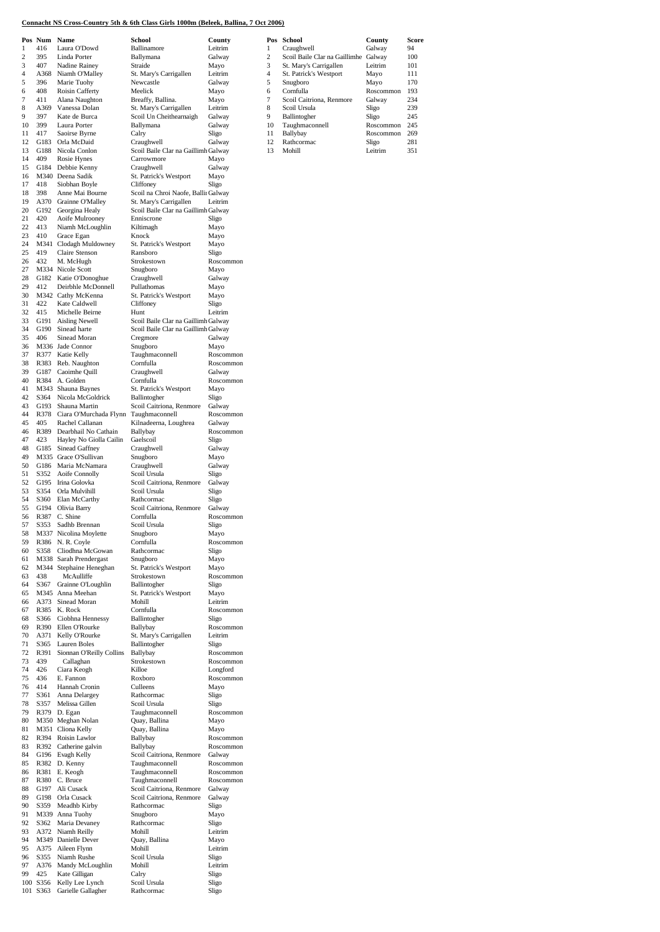### **Connacht NS Cross-Country 5th & 6th Class Girls 1000m (Beleek, Ballina, 7 Oct 2006)**

|          | Pos Num Name     |                                                 | School                                                                     | County                 |                     | Pos School                                                     | County                 | Sco        |
|----------|------------------|-------------------------------------------------|----------------------------------------------------------------------------|------------------------|---------------------|----------------------------------------------------------------|------------------------|------------|
| 1        | 416              | Laura O'Dowd                                    | Ballinamore                                                                | Leitrim                | 1                   | Craughwell                                                     | Galway                 | 94         |
| 2<br>3   | 395<br>407       | Linda Porter<br>Nadine Rainey                   | Ballymana<br>Straide                                                       | Galway<br>Mayo         | $\overline{c}$<br>3 | Scoil Baile Clar na Gaillimhe Galway<br>St. Mary's Carrigallen | Leitrim                | 100<br>101 |
| 4        | A368             | Niamh O'Malley                                  | St. Mary's Carrigallen                                                     | Leitrim                | $\overline{4}$      | St. Patrick's Westport                                         | Mayo                   | 111        |
| 5        | 396              | Marie Tuohy                                     | Newcastle                                                                  | Galway                 | 5                   | Snugboro                                                       | Mayo                   | 170        |
| 6<br>7   | 408<br>411       | Roisin Cafferty<br>Alana Naughton               | Meelick<br>Breaffy, Ballina.                                               | Mayo<br>Mayo           | 6<br>$\overline{7}$ | Cornfulla<br>Scoil Caitriona, Renmore                          | Roscommon<br>Galway    | 193<br>234 |
| 8        | A369             | Vanessa Dolan                                   | St. Mary's Carrigallen                                                     | Leitrim                | 8                   | Scoil Ursula                                                   | Sligo                  | 239        |
| 9        | 397              | Kate de Burca                                   | Scoil Un Cheithearnaigh                                                    | Galway                 | 9                   | Ballintogher                                                   | Sligo                  | 245        |
| 10<br>11 | 399<br>417       | Laura Porter<br>Saoirse Byrne                   | Ballymana<br>Calry                                                         | Galway<br>Sligo        | 10<br>11            | Taughmaconnell<br>Ballybay                                     | Roscommon<br>Roscommon | 245<br>269 |
| 12       | G183             | Orla McDaid                                     | Craughwell                                                                 | Galway                 | 12                  | Rathcormac                                                     | Sligo                  | 281        |
| 13       | G188             | Nicola Conlon                                   | Scoil Baile Clar na Gaillimh Galway                                        |                        | 13                  | Mohill                                                         | Leitrim                | 351        |
| 14       | 409              | Rosie Hynes                                     | Carrowmore                                                                 | Mayo                   |                     |                                                                |                        |            |
| 15<br>16 | G184             | Debbie Kenny<br>M340 Deena Sadik                | Craughwell<br>St. Patrick's Westport                                       | Galway<br>Mayo         |                     |                                                                |                        |            |
| 17       | 418              | Siobhan Boyle                                   | Cliffoney                                                                  | Sligo                  |                     |                                                                |                        |            |
| 18       | 398              | Anne Mai Bourne                                 | Scoil na Chroi Naofe, Balliı Galway                                        |                        |                     |                                                                |                        |            |
| 19<br>20 | G192             | A370 Grainne O'Malley<br>Georgina Healy         | St. Mary's Carrigallen<br>Scoil Baile Clar na Gaillimh Galway              | Leitrim                |                     |                                                                |                        |            |
| 21       | 420              | Aoife Mulrooney                                 | Enniscrone                                                                 | Sligo                  |                     |                                                                |                        |            |
| 22       | 413              | Niamh McLoughlin                                | Kiltimagh                                                                  | Mayo                   |                     |                                                                |                        |            |
| 23       | 410              | Grace Egan                                      | Knock                                                                      | Mayo                   |                     |                                                                |                        |            |
| 24<br>25 | M341<br>419      | Clodagh Muldowney<br>Claire Stenson             | St. Patrick's Westport<br>Ransboro                                         | Mayo<br>Sligo          |                     |                                                                |                        |            |
| 26       | 432              | M. McHugh                                       | Strokestown                                                                | Roscommon              |                     |                                                                |                        |            |
| 27       |                  | M334 Nicole Scott                               | Snugboro                                                                   | Mayo                   |                     |                                                                |                        |            |
| 28<br>29 | 412              | G182 Katie O'Donoghue<br>Deirbhle McDonnell     | Craughwell<br>Pullathomas                                                  | Galway<br>Mayo         |                     |                                                                |                        |            |
| 30       |                  | M342 Cathy McKenna                              | St. Patrick's Westport                                                     | Mayo                   |                     |                                                                |                        |            |
| 31       | 422              | Kate Caldwell                                   | Cliffoney                                                                  | Sligo                  |                     |                                                                |                        |            |
| 32       | 415              | Michelle Beirne                                 | Hunt                                                                       | Leitrim                |                     |                                                                |                        |            |
| 33<br>34 | G191<br>G190     | Aisling Newell<br>Sinead harte                  | Scoil Baile Clar na Gaillimh Galway<br>Scoil Baile Clar na Gaillimh Galway |                        |                     |                                                                |                        |            |
| 35       | 406              | Sinead Moran                                    | Cregmore                                                                   | Galway                 |                     |                                                                |                        |            |
| 36       |                  | M336 Jade Connor                                | Snugboro                                                                   | Mayo                   |                     |                                                                |                        |            |
| 37<br>38 | R377<br>R383     | Katie Kelly<br>Reb. Naughton                    | Taughmaconnell<br>Cornfulla                                                | Roscommon<br>Roscommon |                     |                                                                |                        |            |
| 39       | G187             | Caoimhe Quill                                   | Craughwell                                                                 | Galway                 |                     |                                                                |                        |            |
| 40       | R384             | A. Golden                                       | Cornfulla                                                                  | Roscommon              |                     |                                                                |                        |            |
| 41       |                  | M343 Shauna Baynes                              | St. Patrick's Westport                                                     | Mayo                   |                     |                                                                |                        |            |
| 42<br>43 | S364<br>G193     | Nicola McGoldrick<br>Shauna Martin              | Ballintogher<br>Scoil Caitriona, Renmore                                   | Sligo<br>Galway        |                     |                                                                |                        |            |
| 44       | R378             | Ciara O'Murchada Flynn                          | Taughmaconnell                                                             | Roscommon              |                     |                                                                |                        |            |
| 45       | 405              | Rachel Callanan                                 | Kilnadeerna, Loughrea                                                      | Galway                 |                     |                                                                |                        |            |
| 46<br>47 | R389<br>423      | Dearbhail No Cathain<br>Hayley No Giolla Cailin | Ballybay<br>Gaelscoil                                                      | Roscommon<br>Sligo     |                     |                                                                |                        |            |
| 48       | G185             | Sinead Gaffney                                  | Craughwell                                                                 | Galway                 |                     |                                                                |                        |            |
| 49       | M335             | Grace O'Sullivan                                | Snugboro                                                                   | Mayo                   |                     |                                                                |                        |            |
| 50<br>51 | G186<br>S352     | Maria McNamara<br>Aoife Connolly                | Craughwell                                                                 | Galway                 |                     |                                                                |                        |            |
| 52       | G195             | Irina Golovka                                   | Scoil Ursula<br>Scoil Caitriona, Renmore                                   | Sligo<br>Galway        |                     |                                                                |                        |            |
| 53       | S354             | Orla Mulvihill                                  | Scoil Ursula                                                               | Sligo                  |                     |                                                                |                        |            |
| 54       | S <sub>360</sub> | Elan McCarthy                                   | Rathcormac                                                                 | Sligo                  |                     |                                                                |                        |            |
| 55<br>56 | G194<br>R387     | Olivia Barry<br>C. Shine                        | Scoil Caitriona, Renmore<br>Cornfulla                                      | Galway<br>Roscommon    |                     |                                                                |                        |            |
| 57       | S353             | Sadhb Brennan                                   | Scoil Ursula                                                               | Sligo                  |                     |                                                                |                        |            |
| 58       |                  | M337 Nicolina Moylette                          | Snugboro                                                                   | Mayo                   |                     |                                                                |                        |            |
| 59<br>60 | R386<br>S358     | N. R. Coyle<br>Cliodhna McGowan                 | Cornfulla<br>Rathcormac                                                    | Roscommon<br>Sligo     |                     |                                                                |                        |            |
| 61       |                  | M338 Sarah Prendergast                          | Snugboro                                                                   | Mayo                   |                     |                                                                |                        |            |
| 62       |                  | M344 Stephaine Heneghan                         | St. Patrick's Westport                                                     | Mayo                   |                     |                                                                |                        |            |
| 63       | 438              | McAulliffe                                      | Strokestown                                                                | Roscommon              |                     |                                                                |                        |            |
| 64<br>65 | S367             | Grainne O'Loughlin<br>M345 Anna Meehan          | Ballintogher<br>St. Patrick's Westport                                     | Sligo<br>Mayo          |                     |                                                                |                        |            |
| 66       | A373             | Sinead Moran                                    | Mohill                                                                     | Leitrim                |                     |                                                                |                        |            |
| 67       | R385             | K. Rock                                         | Cornfulla                                                                  | Roscommon              |                     |                                                                |                        |            |
| 68<br>69 | S366<br>R390     | Ciobhna Hennessy<br>Ellen O'Rourke              | Ballintogher<br>Ballybay                                                   | Sligo<br>Roscommon     |                     |                                                                |                        |            |
| 70       | A371             | Kelly O'Rourke                                  | St. Mary's Carrigallen                                                     | Leitrim                |                     |                                                                |                        |            |
| 71       | S365             | Lauren Boles                                    | Ballintogher                                                               | Sligo                  |                     |                                                                |                        |            |
| 72       | R391<br>439      | Sionnan O'Reilly Collins                        | Ballybay                                                                   | Roscommon<br>Roscommon |                     |                                                                |                        |            |
| 73<br>74 | 426              | Callaghan<br>Ciara Keogh                        | Strokestown<br>Killoe                                                      | Longford               |                     |                                                                |                        |            |
| 75       | 436              | E. Fannon                                       | Roxboro                                                                    | Roscommon              |                     |                                                                |                        |            |
| 76       | 414              | Hannah Cronin                                   | Culleens                                                                   | Mayo                   |                     |                                                                |                        |            |
| 77<br>78 | S361<br>S357     | Anna Delargey<br>Melissa Gillen                 | Rathcormac<br>Scoil Ursula                                                 | Sligo<br>Sligo         |                     |                                                                |                        |            |
| 79       | R379             | D. Egan                                         | Taughmaconnell                                                             | Roscommon              |                     |                                                                |                        |            |
| 80       |                  | M350 Meghan Nolan                               | Quay, Ballina                                                              | Mayo                   |                     |                                                                |                        |            |
| 81       |                  | M351 Cliona Kelly                               | Quay, Ballina                                                              | Mayo                   |                     |                                                                |                        |            |
| 82<br>83 | R394<br>R392     | Roisin Lawlor<br>Catherine galvin               | Ballybay<br>Ballybay                                                       | Roscommon<br>Roscommon |                     |                                                                |                        |            |
| 84       | G196             | Evagh Kelly                                     | Scoil Caitriona, Renmore                                                   | Galway                 |                     |                                                                |                        |            |
| 85       |                  | R382 D. Kenny                                   | Taughmaconnell                                                             | Roscommon              |                     |                                                                |                        |            |
| 86<br>87 | R381<br>R380     | E. Keogh<br>C. Bruce                            | Taughmaconnell<br>Taughmaconnell                                           | Roscommon<br>Roscommon |                     |                                                                |                        |            |
| 88       | G197             | Ali Cusack                                      | Scoil Caitriona, Renmore                                                   | Galway                 |                     |                                                                |                        |            |
| 89       | G198             | Orla Cusack                                     | Scoil Caitriona, Renmore                                                   | Galway                 |                     |                                                                |                        |            |
| 90       | S359             | Meadhb Kirby                                    | Rathcormac                                                                 | Sligo                  |                     |                                                                |                        |            |
| 91<br>92 | M339<br>S362     | Anna Tuohy<br>Maria Devaney                     | Snugboro<br>Rathcormac                                                     | Mayo<br>Sligo          |                     |                                                                |                        |            |
| 93       | A372             | Niamh Reilly                                    | Mohill                                                                     | Leitrim                |                     |                                                                |                        |            |
| 94       |                  | M349 Danielle Dever                             | Quay, Ballina                                                              | Mayo                   |                     |                                                                |                        |            |
| 95<br>96 | A375<br>S355     | Aileen Flynn<br>Niamh Rushe                     | Mohill<br>Scoil Ursula                                                     | Leitrim<br>Sligo       |                     |                                                                |                        |            |
| 97       | A376             | Mandy McLoughlin                                | Mohill                                                                     | Leitrim                |                     |                                                                |                        |            |
| 99       | 425              | Kate Gilligan                                   | Calry                                                                      | Sligo                  |                     |                                                                |                        |            |
|          | 100 S356         | Kelly Lee Lynch                                 | Scoil Ursula                                                               | Sligo                  |                     |                                                                |                        |            |
|          | 101 S363         | Garielle Gallagher                              | Rathcormac                                                                 | Sligo                  |                     |                                                                |                        |            |

| Pos            | <b>School</b>                 | County    | Score |
|----------------|-------------------------------|-----------|-------|
| 1              | Craughwell                    | Galway    | 94    |
| $\overline{c}$ | Scoil Baile Clar na Gaillimhe | Galway    | 100   |
| 3              | St. Mary's Carrigallen        | Leitrim   | 101   |
| $\overline{4}$ | St. Patrick's Westport        | Mayo      | 111   |
| 5              | Snugboro                      | Mayo      | 170   |
| 6              | Cornfulla                     | Roscommon | 193   |
| 7              | Scoil Caitriona, Renmore      | Galway    | 234   |
| 8              | Scoil Ursula                  | Sligo     | 239   |
| 9              | Ballintogher                  | Sligo     | 245   |
| 10             | Taughmaconnell                | Roscommon | 245   |
| 11             | Ballybay                      | Roscommon | 269   |
| 12             | Rathcormac                    | Sligo     | 281   |
| 13             | Mohill                        | Leitrim   | 351   |
|                |                               |           |       |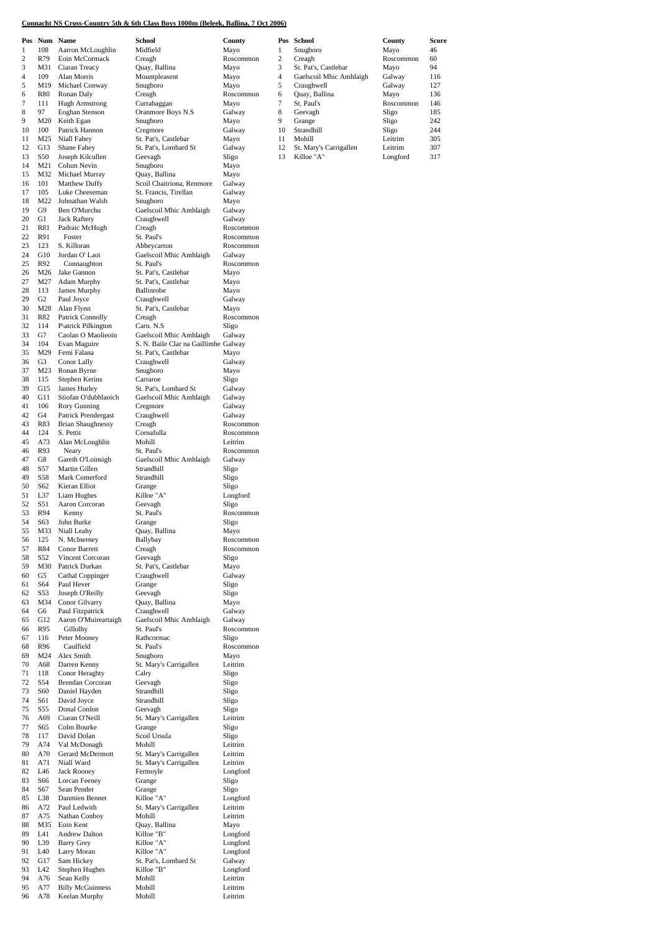### **Connacht NS Cross-Country 5th & 6th Class Boys 1000m (Beleek, Ballina, 7 Oct 2006)**

A78 Keelan Murphy Mohill Leitrim

|                  | Pos Num Name   |                          | <b>School</b>                        | County    | Pos          | School                  | County    | Score |
|------------------|----------------|--------------------------|--------------------------------------|-----------|--------------|-------------------------|-----------|-------|
| 1                | 108            | Aarron McLoughlin        | Midfield                             | Mayo      | 1            | Snugboro                | Mayo      | 46    |
| $\boldsymbol{2}$ | R79            | Eoin McCormack           | Creagh                               | Roscommon | $\mathbf{2}$ | Creagh                  | Roscommon | 60    |
| 3                | M31            | Ciaran Treacy            | Quay, Ballina                        | Mayo      | 3            | St. Pat's, Castlebar    | Mayo      | 94    |
| 4                | 109            | Alan Morris              | Mountpleasent                        | Mayo      | 4            | Gaelscoil Mhic Amhlaigh | Galway    | 116   |
|                  |                |                          |                                      |           |              |                         |           |       |
| 5                | M19            | Michael Conway           | Snugboro                             | Mayo      | 5            | Craughwell              | Galway    | 127   |
| 6                | R80            | Ronan Daly               | Creagh                               | Roscommon | 6            | Quay, Ballina           | Mayo      | 136   |
| 7                | 111            | <b>Hugh Armstrong</b>    | Currabaggan                          | Mayo      | 7            | St. Paul's              | Roscommon | 146   |
| 8                | 97             | Eoghan Stenson           | Oranmore Boys N.S                    | Galway    | 8            | Geevagh                 | Sligo     | 185   |
| 9                | M20            | Keith Egan               | Snugboro                             | Mayo      | 9            | Grange                  | Sligo     | 242   |
|                  |                |                          |                                      |           |              |                         |           |       |
| 10               | 100            | Patrick Hannon           | Cregmore                             | Galway    | 10           | Strandhill              | Sligo     | 244   |
| 11               | M25            | Niall Fahey              | St. Pat's, Castlebar                 | Mayo      | 11           | Mohill                  | Leitrim   | 305   |
| 12               | G13            | Shane Fahey              | St. Pat's, Lombard St                | Galway    | 12           | St. Mary's Carrigallen  | Leitrim   | 307   |
| 13               | S50            | Joseph Kilcullen         | Geevagh                              | Sligo     | 13           | Killoe "A"              | Longford  | 317   |
| 14               | M21            | Colum Nevin              | Snugboro                             | Mayo      |              |                         |           |       |
| 15               | M32            |                          |                                      |           |              |                         |           |       |
|                  |                | Michael Murray           | Quay, Ballina                        | Mayo      |              |                         |           |       |
| 16               | 101            | Matthew Duffy            | Scoil Chaitriona, Renmore            | Galway    |              |                         |           |       |
| 17               | 105            | Luke Cheeseman           | St. Francis, Tirellan                | Galway    |              |                         |           |       |
| 18               | M22            | Johnathan Walsh          | Snugboro                             | Mayo      |              |                         |           |       |
| 19               | G9             | Ben O'Murchu             | Gaelscoil Mhic Amhlaigh              | Galway    |              |                         |           |       |
| 20               | G1             | <b>Jack Raftery</b>      | Craughwell                           | Galway    |              |                         |           |       |
|                  |                |                          |                                      |           |              |                         |           |       |
| 21               | <b>R81</b>     | Padraic McHugh           | Creagh                               | Roscommon |              |                         |           |       |
| 22               | R91            | Foster                   | St. Paul's                           | Roscommon |              |                         |           |       |
| 23               | 123            | S. Killoran              | Abbeycarton                          | Roscommon |              |                         |           |       |
| 24               | G10            | Jordan O' Laoi           | Gaelscoil Mhic Amhlaigh              | Galway    |              |                         |           |       |
| 25               | R92            | Connaughton              | St. Paul's                           | Roscommon |              |                         |           |       |
|                  |                |                          |                                      |           |              |                         |           |       |
| 26               | M26            | Jake Gannon              | St. Pat's, Castlebar                 | Mayo      |              |                         |           |       |
| 27               | M27            | Adam Murphy              | St. Pat's, Castlebar                 | Mayo      |              |                         |           |       |
| 28               | 113            | James Murphy             | Ballinrobe                           | Mayo      |              |                         |           |       |
| 29               | G <sub>2</sub> | Paul Joyce               | Craughwell                           | Galway    |              |                         |           |       |
| 30               | M28            | Alan Flynn               | St. Pat's, Castlebar                 | Mayo      |              |                         |           |       |
| 31               |                |                          |                                      | Roscommon |              |                         |           |       |
|                  | R82            | Patrick Connolly         | Creagh                               |           |              |                         |           |       |
| 32               | 114            | P\atrick Pilkington      | Carn. N.S                            | Sligo     |              |                         |           |       |
| 33               | G7             | Caolan O Maolieoin       | Gaelscoil Mhic Amhlaigh              | Galway    |              |                         |           |       |
| 34               | 104            | Evan Maguire             | S. N. Baile Clar na Gaillimhe Galway |           |              |                         |           |       |
| 35               | M29            | Femi Falana              | St. Pat's, Castlebar                 | Mayo      |              |                         |           |       |
| 36               | G <sub>3</sub> | Conor Lally              | Craughwell                           | Galway    |              |                         |           |       |
|                  |                |                          |                                      |           |              |                         |           |       |
| 37               | M23            | Ronan Byrne              | Snugboro                             | Mayo      |              |                         |           |       |
| 38               | 115            | Stephen Kerins           | Carraroe                             | Sligo     |              |                         |           |       |
| 39               | G15            | James Hurley             | St. Pat's, Lombard St                | Galway    |              |                         |           |       |
| 40               | G11            | Stiofan O'dubhlaoich     | Gaelscoil Mhic Amhlaigh              | Galway    |              |                         |           |       |
| 41               | 106            | Rory Gunning             | Cregmore                             | Galway    |              |                         |           |       |
| 42               | G4             |                          |                                      |           |              |                         |           |       |
|                  |                | Patrick Prendergast      | Craughwell                           | Galway    |              |                         |           |       |
| 43               | R83            | <b>Brian Shaughnessy</b> | Creagh                               | Roscommon |              |                         |           |       |
| 44               | 124            | S. Pettit                | Cornafulla                           | Roscommon |              |                         |           |       |
| 45               | A73            | Alan McLoughlin          | Mohill                               | Leitrim   |              |                         |           |       |
| 46               | R93            | Neary                    | St. Paul's                           | Roscommon |              |                         |           |       |
| 47               | G8             | Gareth O'Loinsigh        | Gaelscoil Mhic Amhlaigh              | Galway    |              |                         |           |       |
|                  |                |                          |                                      |           |              |                         |           |       |
| 48               | S57            | Martin Gillen            | Strandhill                           | Sligo     |              |                         |           |       |
| 49               | S58            | Mark Comerford           | Strandhill                           | Sligo     |              |                         |           |       |
| 50               | S62            | Kieran Elliot            | Grange                               | Sligo     |              |                         |           |       |
| 51               | L37            | Liam Hughes              | Killoe "A"                           | Longford  |              |                         |           |       |
| 52               | S51            | Aaron Corcoran           | Geevagh                              | Sligo     |              |                         |           |       |
|                  |                |                          |                                      |           |              |                         |           |       |
| 53               | R94            | Kenny                    | St. Paul's                           | Roscommon |              |                         |           |       |
| 54               | S63            | John Burke               | Grange                               | Sligo     |              |                         |           |       |
| 55               | M33            | Niall Leahy              | Quay, Ballina                        | Mayo      |              |                         |           |       |
| 56               | 125            | N. McInerney             | Ballybay                             | Roscommon |              |                         |           |       |
| 57               | R84            | Conor Barrett            | Creagh                               | Roscommon |              |                         |           |       |
| 58               | S52            | Vincent Corcoran         | Geevagh                              | Sligo     |              |                         |           |       |
|                  |                |                          |                                      |           |              |                         |           |       |
| 59               | M30            | Patrick Durkan           | St. Pat's, Castlebar                 | Mayo      |              |                         |           |       |
| 60               | G5             | Cathal Coppinger         | Craughwell                           | Galway    |              |                         |           |       |
| 61               | S64            | Paul Hever               | Grange                               | Sligo     |              |                         |           |       |
| 62               | S53            | Joseph O'Reilly          | Geevagh                              | Sligo     |              |                         |           |       |
| 63               | M34            | Conor Gilvarry           | Quay, Ballina                        | Mayo      |              |                         |           |       |
|                  |                |                          |                                      |           |              |                         |           |       |
| 64               | G6             | Paul Fitzpatrick         | Craughwell                           | Galway    |              |                         |           |       |
| 65               | G12            | Aaron O'Muireartaigh     | Gaelscoil Mhic Amhlaigh              | Galway    |              |                         |           |       |
| 66               | R95            | Gillolhy                 | St. Paul's                           | Roscommon |              |                         |           |       |
| 67               | 116            | Peter Mooney             | Rathcormac                           | Sligo     |              |                         |           |       |
| 68               | R96            | Caulfield                | St. Paul's                           | Roscommon |              |                         |           |       |
| 69               | M24            | Alex Smith               | Snugboro                             | Mayo      |              |                         |           |       |
| 70               | A68            | Darren Kenny             | St. Mary's Carrigallen               | Leitrim   |              |                         |           |       |
|                  |                | Conor Heraghty           |                                      |           |              |                         |           |       |
| 71               | 118            |                          | Calry                                | Sligo     |              |                         |           |       |
| 72               | S54            | <b>Brendan Corcoran</b>  | Geevagh                              | Sligo     |              |                         |           |       |
| 73               | S60            | Daniel Hayden            | Strandhill                           | Sligo     |              |                         |           |       |
| 74               | S61            | David Joyce              | Strandhill                           | Sligo     |              |                         |           |       |
| 75               | S55            | Donal Conlon             | Geevagh                              | Sligo     |              |                         |           |       |
| 76               | A69            | Ciaran O'Neill           | St. Mary's Carrigallen               | Leitrim   |              |                         |           |       |
|                  |                |                          |                                      |           |              |                         |           |       |
| 77               | S65            | Colm Bourke              | Grange                               | Sligo     |              |                         |           |       |
| 78               | 117            | David Dolan              | Scoil Ursula                         | Sligo     |              |                         |           |       |
| 79               | A74            | Val McDonagh             | Mohill                               | Leitrim   |              |                         |           |       |
| 80               | A70            | Gerard McDermott         | St. Mary's Carrigallen               | Leitrim   |              |                         |           |       |
| 81               | A71            | Niall Ward               | St. Mary's Carrigallen               | Leitrim   |              |                         |           |       |
|                  |                |                          |                                      |           |              |                         |           |       |
| 82               | L46            | Jack Rooney              | Fermoyle                             | Longford  |              |                         |           |       |
| 83               | S66            | Lorcan Feeney            | Grange                               | Sligo     |              |                         |           |       |
| 84               | S67            | Sean Pender              | Grange                               | Sligo     |              |                         |           |       |
| 85               | L38            | Danmien Bennet           | Killoe "A"                           | Longford  |              |                         |           |       |
| 86               | A72            | Paul Ledwith             | St. Mary's Carrigallen               | Leitrim   |              |                         |           |       |
|                  |                |                          |                                      | Leitrim   |              |                         |           |       |
| 87               | A75            | Nathan Conboy            | Mohill                               |           |              |                         |           |       |
| 88               | M35            | Eoin Kent                | Quay, Ballina                        | Mayo      |              |                         |           |       |
| 89               | L41            | Andrew Dalton            | Killoe "B"                           | Longford  |              |                         |           |       |
| 90               | L39            | <b>Barry Grey</b>        | Killoe "A"                           | Longford  |              |                         |           |       |
| 91               | L40            | Larry Moran              | Killoe "A"                           | Longford  |              |                         |           |       |
| 92               | G17            | Sam Hickey               | St. Pat's, Lombard St                | Galway    |              |                         |           |       |
|                  |                |                          |                                      |           |              |                         |           |       |
| 93               | L42            | Stephen Hughes           | Killoe "B"                           | Longford  |              |                         |           |       |
| 94               | A76            | Sean Kelly               | Mohill                               | Leitrim   |              |                         |           |       |
| 95               | A77            | <b>Billy McGuinness</b>  | Mohill                               | Leitrim   |              |                         |           |       |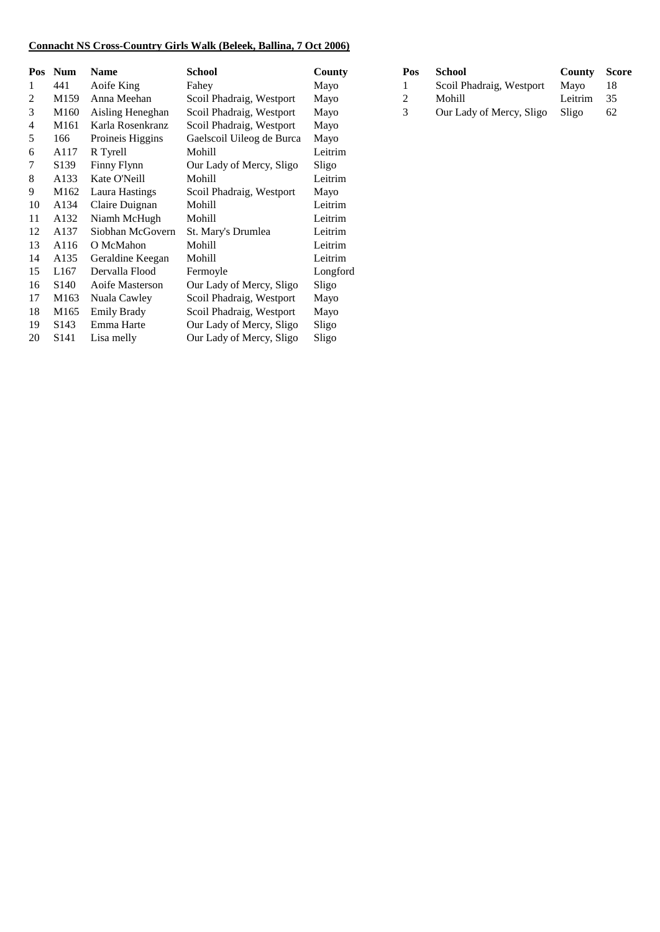## **Connacht NS Cross-Country Girls Walk (Beleek, Ballina, 7 Oct 2006)**

| Pos | <b>Num</b>       | <b>Name</b>        | School                    | County   | Pos | <b>School</b>            | <b>County</b> | <b>Score</b> |
|-----|------------------|--------------------|---------------------------|----------|-----|--------------------------|---------------|--------------|
| 1   | 441              | Aoife King         | Fahey                     | Mayo     |     | Scoil Phadraig, Westport | Mayo          | 18           |
| 2   | M <sub>159</sub> | Anna Meehan        | Scoil Phadraig, Westport  | Mayo     | 2   | Mohill                   | Leitrim       | 35           |
| 3   | M160             | Aisling Heneghan   | Scoil Phadraig, Westport  | Mayo     | 3   | Our Lady of Mercy, Sligo | Sligo         | 62           |
| 4   | M161             | Karla Rosenkranz   | Scoil Phadraig, Westport  | Mayo     |     |                          |               |              |
| 5   | 166              | Proineis Higgins   | Gaelscoil Uileog de Burca | Mayo     |     |                          |               |              |
| 6   | A117             | R Tyrell           | Mohill                    | Leitrim  |     |                          |               |              |
| 7   | S <sub>139</sub> | Finny Flynn        | Our Lady of Mercy, Sligo  | Sligo    |     |                          |               |              |
| 8   | A133             | Kate O'Neill       | Mohill                    | Leitrim  |     |                          |               |              |
| 9   | M162             | Laura Hastings     | Scoil Phadraig, Westport  | Mayo     |     |                          |               |              |
| 10  | A134             | Claire Duignan     | Mohill                    | Leitrim  |     |                          |               |              |
| 11  | A132             | Niamh McHugh       | Mohill                    | Leitrim  |     |                          |               |              |
| 12  | A137             | Siobhan McGovern   | St. Mary's Drumlea        | Leitrim  |     |                          |               |              |
| 13  | A116             | O McMahon          | Mohill                    | Leitrim  |     |                          |               |              |
| 14  | A135             | Geraldine Keegan   | Mohill                    | Leitrim  |     |                          |               |              |
| 15  | L167             | Dervalla Flood     | Fermoyle                  | Longford |     |                          |               |              |
| 16  | S <sub>140</sub> | Aoife Masterson    | Our Lady of Mercy, Sligo  | Sligo    |     |                          |               |              |
| 17  | M163             | Nuala Cawley       | Scoil Phadraig, Westport  | Mayo     |     |                          |               |              |
| 18  | M165             | <b>Emily Brady</b> | Scoil Phadraig, Westport  | Mayo     |     |                          |               |              |
| 19  | S <sub>143</sub> | Emma Harte         | Our Lady of Mercy, Sligo  | Sligo    |     |                          |               |              |
| 20  | S <sub>141</sub> | Lisa melly         | Our Lady of Mercy, Sligo  | Sligo    |     |                          |               |              |

| Pos           | <b>School</b>            | <b>County Score</b> |     |
|---------------|--------------------------|---------------------|-----|
|               | Scoil Phadraig, Westport | Mayo                | 18  |
| $\mathcal{D}$ | Mohill                   | Leitrim             | -35 |
| 3             | Our Lady of Mercy, Sligo | Sligo               | 62  |